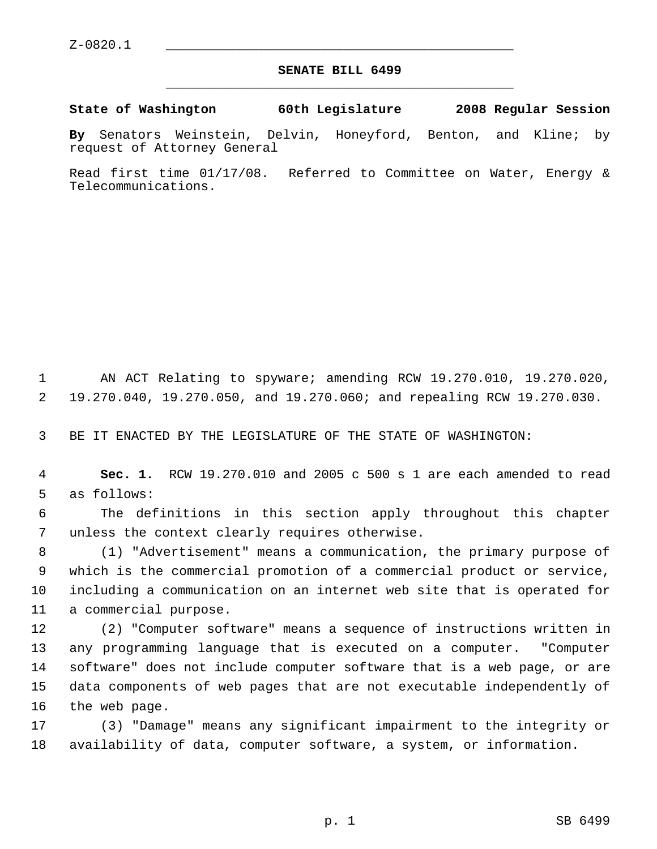## **SENATE BILL 6499** \_\_\_\_\_\_\_\_\_\_\_\_\_\_\_\_\_\_\_\_\_\_\_\_\_\_\_\_\_\_\_\_\_\_\_\_\_\_\_\_\_\_\_\_\_

**State of Washington 60th Legislature 2008 Regular Session**

**By** Senators Weinstein, Delvin, Honeyford, Benton, and Kline; by request of Attorney General

Read first time 01/17/08. Referred to Committee on Water, Energy & Telecommunications.

 AN ACT Relating to spyware; amending RCW 19.270.010, 19.270.020, 19.270.040, 19.270.050, and 19.270.060; and repealing RCW 19.270.030.

BE IT ENACTED BY THE LEGISLATURE OF THE STATE OF WASHINGTON:

 **Sec. 1.** RCW 19.270.010 and 2005 c 500 s 1 are each amended to read as follows:

 The definitions in this section apply throughout this chapter unless the context clearly requires otherwise.

 (1) "Advertisement" means a communication, the primary purpose of which is the commercial promotion of a commercial product or service, including a communication on an internet web site that is operated for a commercial purpose.

 (2) "Computer software" means a sequence of instructions written in any programming language that is executed on a computer. "Computer software" does not include computer software that is a web page, or are data components of web pages that are not executable independently of the web page.

 (3) "Damage" means any significant impairment to the integrity or availability of data, computer software, a system, or information.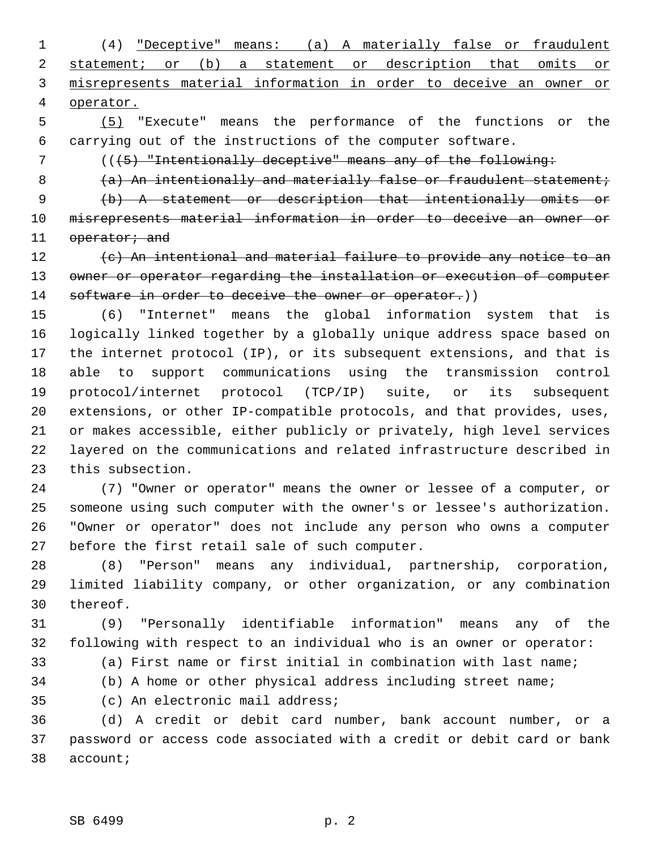(4) "Deceptive" means: (a) A materially false or fraudulent statement; or (b) a statement or description that omits or misrepresents material information in order to deceive an owner or operator.

 (5) "Execute" means the performance of the functions or the carrying out of the instructions of the computer software.

7 (( $(5)$  "Intentionally deceptive" means any of the following:

8 (a) An intentionally and materially false or fraudulent statement;

 (b) A statement or description that intentionally omits or misrepresents material information in order to deceive an owner or 11 operator; and

 (c) An intentional and material failure to provide any notice to an 13 owner or operator regarding the installation or execution of computer 14 software in order to deceive the owner or operator.))

 (6) "Internet" means the global information system that is logically linked together by a globally unique address space based on the internet protocol (IP), or its subsequent extensions, and that is able to support communications using the transmission control protocol/internet protocol (TCP/IP) suite, or its subsequent extensions, or other IP-compatible protocols, and that provides, uses, or makes accessible, either publicly or privately, high level services layered on the communications and related infrastructure described in this subsection.

 (7) "Owner or operator" means the owner or lessee of a computer, or someone using such computer with the owner's or lessee's authorization. "Owner or operator" does not include any person who owns a computer before the first retail sale of such computer.

 (8) "Person" means any individual, partnership, corporation, limited liability company, or other organization, or any combination thereof.

 (9) "Personally identifiable information" means any of the following with respect to an individual who is an owner or operator:

(a) First name or first initial in combination with last name;

(b) A home or other physical address including street name;

(c) An electronic mail address;

 (d) A credit or debit card number, bank account number, or a password or access code associated with a credit or debit card or bank account;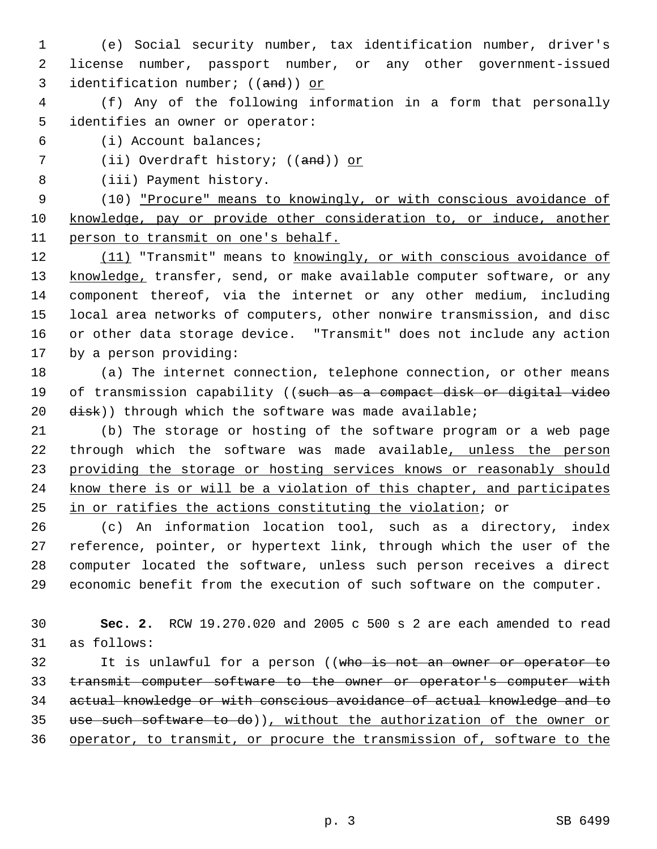- (e) Social security number, tax identification number, driver's license number, passport number, or any other government-issued 3 identification number; ((and)) or
- (f) Any of the following information in a form that personally identifies an owner or operator:
- (i) Account balances;
- 7 (ii) Overdraft history; ((and)) or
- (iii) Payment history.

 (10) "Procure" means to knowingly, or with conscious avoidance of knowledge, pay or provide other consideration to, or induce, another person to transmit on one's behalf.

12 (11) "Transmit" means to knowingly, or with conscious avoidance of 13 knowledge, transfer, send, or make available computer software, or any component thereof, via the internet or any other medium, including local area networks of computers, other nonwire transmission, and disc or other data storage device. "Transmit" does not include any action by a person providing:

- (a) The internet connection, telephone connection, or other means 19 of transmission capability ((such as a compact disk or digital video disk)) through which the software was made available;
- (b) The storage or hosting of the software program or a web page 22 through which the software was made available, unless the person providing the storage or hosting services knows or reasonably should know there is or will be a violation of this chapter, and participates in or ratifies the actions constituting the violation; or

 (c) An information location tool, such as a directory, index reference, pointer, or hypertext link, through which the user of the computer located the software, unless such person receives a direct economic benefit from the execution of such software on the computer.

 **Sec. 2.** RCW 19.270.020 and 2005 c 500 s 2 are each amended to read as follows:

32 It is unlawful for a person ((who is not an owner or operator to 33 transmit computer software to the owner or operator's computer with actual knowledge or with conscious avoidance of actual knowledge and to use such software to do)), without the authorization of the owner or operator, to transmit, or procure the transmission of, software to the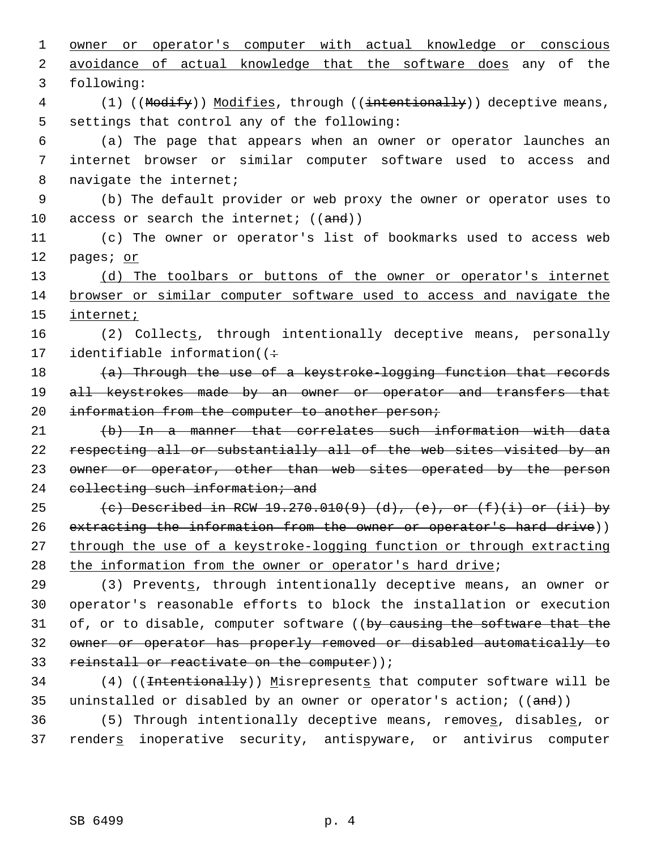1 owner or operator's computer with actual knowledge or conscious 2 avoidance of actual knowledge that the software does any of the 3 following: 4 (1) ((Modify)) Modifies, through ((intentionally)) deceptive means, 5 settings that control any of the following: 6 (a) The page that appears when an owner or operator launches an 7 internet browser or similar computer software used to access and 8 navigate the internet; 9 (b) The default provider or web proxy the owner or operator uses to 10 access or search the internet;  $((and))$ 11 (c) The owner or operator's list of bookmarks used to access web 12 pages; or 13 (d) The toolbars or buttons of the owner or operator's internet 14 browser or similar computer software used to access and navigate the 15 internet; 16 (2) Collects, through intentionally deceptive means, personally 17 identifiable information( $($ 18 (a) Through the use of a keystroke-logging function that records 19 all keystrokes made by an owner or operator and transfers that 20 information from the computer to another person; 21 (b) In a manner that correlates such information with data 22 respecting all or substantially all of the web sites visited by an 23 owner or operator, other than web sites operated by the person 24 collecting such information; and 25 (c) Described in RCW 19.270.010(9) (d), (e), or  $(f)(i)$  or (ii) by 26 extracting the information from the owner or operator's hard drive)) 27 through the use of a keystroke-logging function or through extracting 28 the information from the owner or operator's hard drive; 29 (3) Prevents, through intentionally deceptive means, an owner or 30 operator's reasonable efforts to block the installation or execution 31 of, or to disable, computer software ((by causing the software that the 32 owner or operator has properly removed or disabled automatically to 33 reinstall or reactivate on the computer)); 34 (4) ((<del>Intentionally</del>)) Misrepresents that computer software will be 35 uninstalled or disabled by an owner or operator's action; ((and))

36 (5) Through intentionally deceptive means, removes, disables, or 37 renders inoperative security, antispyware, or antivirus computer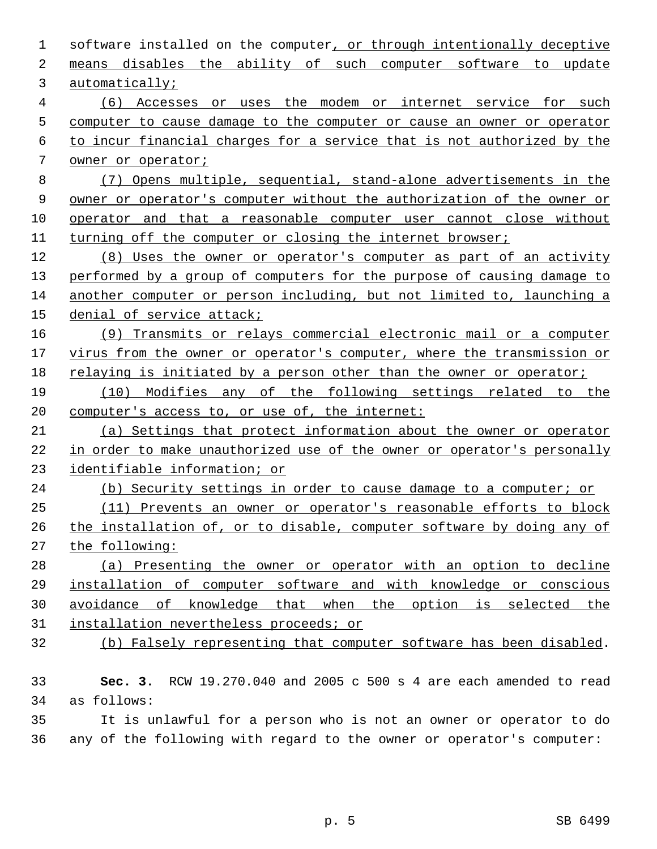| 1              | software installed on the computer, or through intentionally deceptive  |
|----------------|-------------------------------------------------------------------------|
| 2              | means disables the ability of such computer software to update          |
| 3              | automatically;                                                          |
| $\overline{4}$ | (6) Accesses or uses the modem or internet service for such             |
| 5              | computer to cause damage to the computer or cause an owner or operator  |
| 6              | to incur financial charges for a service that is not authorized by the  |
| 7              | owner or operator;                                                      |
| 8              | (7) Opens multiple, sequential, stand-alone advertisements in the       |
| 9              | owner or operator's computer without the authorization of the owner or  |
| 10             | operator and that a reasonable computer user cannot close without       |
| 11             | turning off the computer or closing the internet browser;               |
| 12             | (8) Uses the owner or operator's computer as part of an activity        |
| 13             | performed by a group of computers for the purpose of causing damage to  |
| 14             | another computer or person including, but not limited to, launching a   |
| 15             | denial of service attack;                                               |
| 16             | (9) Transmits or relays commercial electronic mail or a computer        |
| 17             | virus from the owner or operator's computer, where the transmission or  |
| 18             | relaying is initiated by a person other than the owner or operator;     |
| 19             | (10) Modifies any of the following settings related to the              |
| 20             | computer's access to, or use of, the internet:                          |
| 21             | (a) Settings that protect information about the owner or operator       |
| 22             | in order to make unauthorized use of the owner or operator's personally |
| 23             | identifiable information; or                                            |
| 24             | (b) Security settings in order to cause damage to a computer; or        |
| 25             | (11) Prevents an owner or operator's reasonable efforts to block        |
| 26             | the installation of, or to disable, computer software by doing any of   |
| 27             | the following:                                                          |
| 28             | (a) Presenting the owner or operator with an option to decline          |
| 29             | installation of computer software and with knowledge or conscious       |
| 30             | avoidance of knowledge that when the option is selected the             |
| 31             | installation nevertheless proceeds; or                                  |
| 32             | (b) Falsely representing that computer software has been disabled.      |
|                |                                                                         |
| 33             | RCW 19.270.040 and 2005 c 500 s 4 are each amended to read<br>Sec. $3.$ |
| 34             | as follows:                                                             |
| 35             | It is unlawful for a person who is not an owner or operator to do       |
| 36             | any of the following with regard to the owner or operator's computer:   |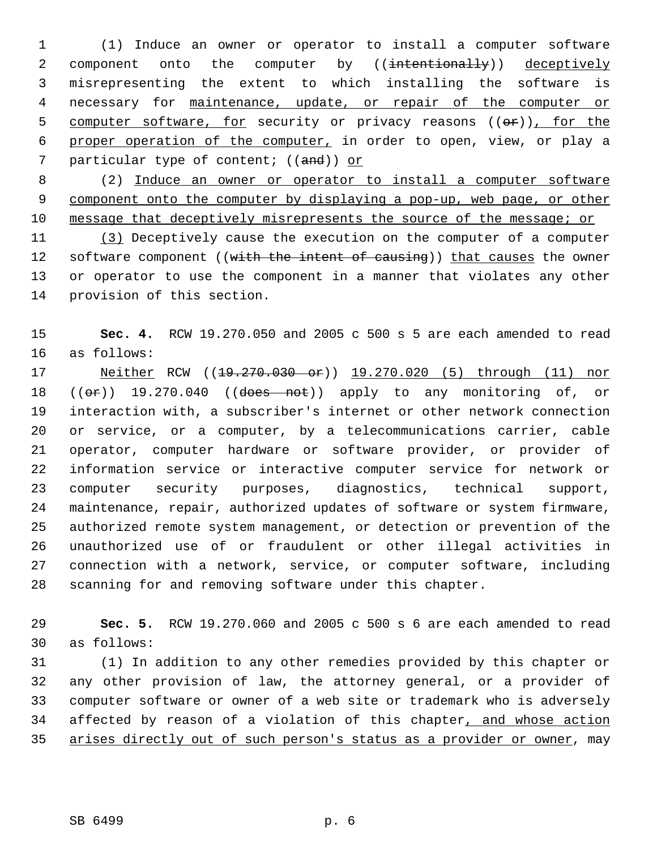(1) Induce an owner or operator to install a computer software 2 component onto the computer by ((intentionally)) deceptively misrepresenting the extent to which installing the software is necessary for maintenance, update, or repair of the computer or 5 computer software, for security or privacy reasons ((or)), for the proper operation of the computer, in order to open, view, or play a 7 particular type of content; ((and)) or

 (2) Induce an owner or operator to install a computer software component onto the computer by displaying a pop-up, web page, or other message that deceptively misrepresents the source of the message; or

 (3) Deceptively cause the execution on the computer of a computer 12 software component ((with the intent of causing)) that causes the owner or operator to use the component in a manner that violates any other provision of this section.

 **Sec. 4.** RCW 19.270.050 and 2005 c 500 s 5 are each amended to read as follows:

17 Neither RCW ((19.270.030 or)) 19.270.020 (5) through (11) nor  $((\theta \cdot \hat{r}))$  19.270.040  $((\theta \cdot \theta \cdot \hat{r}))$  apply to any monitoring of, or interaction with, a subscriber's internet or other network connection or service, or a computer, by a telecommunications carrier, cable operator, computer hardware or software provider, or provider of information service or interactive computer service for network or computer security purposes, diagnostics, technical support, maintenance, repair, authorized updates of software or system firmware, authorized remote system management, or detection or prevention of the unauthorized use of or fraudulent or other illegal activities in connection with a network, service, or computer software, including scanning for and removing software under this chapter.

 **Sec. 5.** RCW 19.270.060 and 2005 c 500 s 6 are each amended to read as follows:

 (1) In addition to any other remedies provided by this chapter or any other provision of law, the attorney general, or a provider of computer software or owner of a web site or trademark who is adversely 34 affected by reason of a violation of this chapter, and whose action arises directly out of such person's status as a provider or owner, may